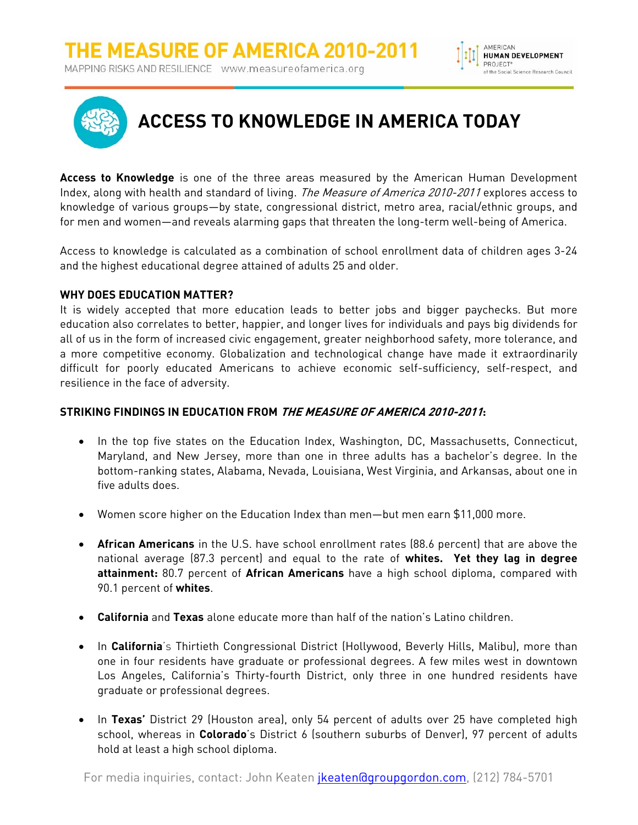



**Access to Knowledge** is one of the three areas measured by the American Human Development Index, along with health and standard of living. *The Measure of America 2010-2011* explores access to knowledge of various groups—by state, congressional district, metro area, racial/ethnic groups, and for men and women—and reveals alarming gaps that threaten the long-term well-being of America.

Access to knowledge is calculated as a combination of school enrollment data of children ages 3-24 and the highest educational degree attained of adults 25 and older.

## **WHY DOES EDUCATION MATTER?**

It is widely accepted that more education leads to better jobs and bigger paychecks. But more education also correlates to better, happier, and longer lives for individuals and pays big dividends for all of us in the form of increased civic engagement, greater neighborhood safety, more tolerance, and a more competitive economy. Globalization and technological change have made it extraordinarily difficult for poorly educated Americans to achieve economic self-sufficiency, self-respect, and resilience in the face of adversity.

## **STRIKING FINDINGS IN EDUCATION FROM THE MEASURE OF AMERICA 2010-2011:**

- In the top five states on the Education Index, Washington, DC, Massachusetts, Connecticut, Maryland, and New Jersey, more than one in three adults has a bachelor's degree. In the bottom-ranking states, Alabama, Nevada, Louisiana, West Virginia, and Arkansas, about one in five adults does.
- Women score higher on the Education Index than men—but men earn \$11,000 more.
- **African Americans** in the U.S. have school enrollment rates (88.6 percent) that are above the national average (87.3 percent) and equal to the rate of **whites. Yet they lag in degree attainment:** 80.7 percent of **African Americans** have a high school diploma, compared with 90.1 percent of **whites**.
- **California** and **Texas** alone educate more than half of the nation's Latino children.
- **•** In California's Thirtieth Congressional District (Hollywood, Beverly Hills, Malibu), more than one in four residents have graduate or professional degrees. A few miles west in downtown Los Angeles, California's Thirty-fourth District, only three in one hundred residents have graduate or professional degrees.
- In Texas' District 29 (Houston area), only 54 percent of adults over 25 have completed high school, whereas in **Colorado**'s District 6 (southern suburbs of Denver), 97 percent of adults hold at least a high school diploma.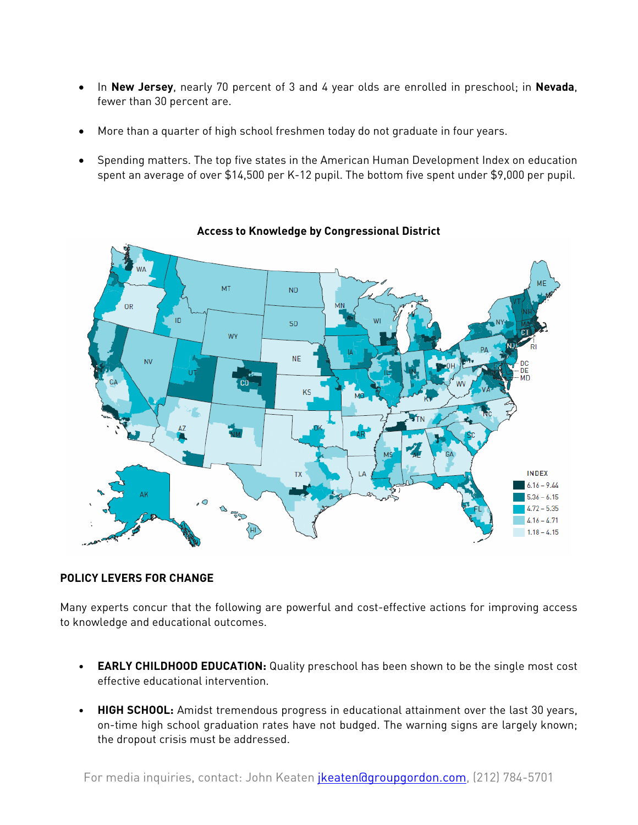- In **New Jersey**, nearly 70 percent of 3 and 4 year olds are enrolled in preschool; in **Nevada**, fewer than 30 percent are.
- More than a quarter of high school freshmen today do not graduate in four years.
- Spending matters. The top five states in the American Human Development Index on education spent an average of over \$14,500 per K-12 pupil. The bottom five spent under \$9,000 per pupil.



**Access to Knowledge by Congressional District** 

## **POLICY LEVERS FOR CHANGE**

Many experts concur that the following are powerful and cost-effective actions for improving access to knowledge and educational outcomes.

- **EARLY CHILDHOOD EDUCATION:** Quality preschool has been shown to be the single most cost effective educational intervention.
- **HIGH SCHOOL:** Amidst tremendous progress in educational attainment over the last 30 years, on-time high school graduation rates have not budged. The warning signs are largely known; the dropout crisis must be addressed.